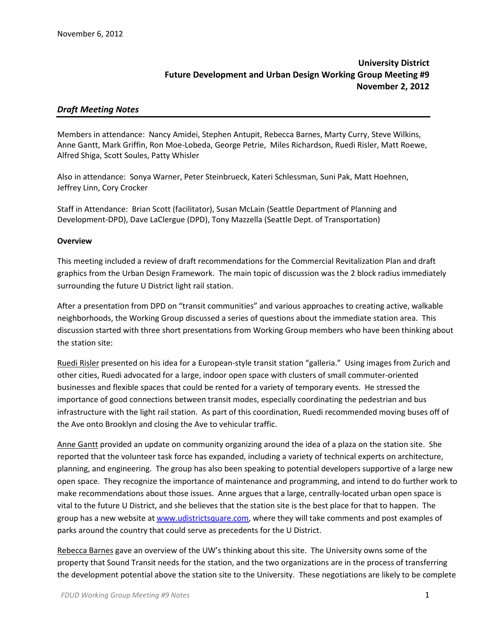# **University District Future Development and Urban Design Working Group Meeting #9 November 2, 2012**

## *Draft Meeting Notes*

Members in attendance: Nancy Amidei, Stephen Antupit, Rebecca Barnes, Marty Curry, Steve Wilkins, Anne Gantt, Mark Griffin, Ron Moe-Lobeda, George Petrie, Miles Richardson, Ruedi Risler, Matt Roewe, Alfred Shiga, Scott Soules, Patty Whisler

Also in attendance: Sonya Warner, Peter Steinbrueck, Kateri Schlessman, Suni Pak, Matt Hoehnen, Jeffrey Linn, Cory Crocker

Staff in Attendance: Brian Scott (facilitator), Susan McLain (Seattle Department of Planning and Development-DPD), Dave LaClergue (DPD), Tony Mazzella (Seattle Dept. of Transportation)

#### **Overview**

This meeting included a review of draft recommendations for the Commercial Revitalization Plan and draft graphics from the Urban Design Framework. The main topic of discussion was the 2 block radius immediately surrounding the future U District light rail station.

After a presentation from DPD on "transit communities" and various approaches to creating active, walkable neighborhoods, the Working Group discussed a series of questions about the immediate station area. This discussion started with three short presentations from Working Group members who have been thinking about the station site:

Ruedi Risler presented on his idea for a European-style transit station "galleria." Using images from Zurich and other cities, Ruedi advocated for a large, indoor open space with clusters of small commuter-oriented businesses and flexible spaces that could be rented for a variety of temporary events. He stressed the importance of good connections between transit modes, especially coordinating the pedestrian and bus infrastructure with the light rail station. As part of this coordination, Ruedi recommended moving buses off of the Ave onto Brooklyn and closing the Ave to vehicular traffic.

Anne Gantt provided an update on community organizing around the idea of a plaza on the station site. She reported that the volunteer task force has expanded, including a variety of technical experts on architecture, planning, and engineering. The group has also been speaking to potential developers supportive of a large new open space. They recognize the importance of maintenance and programming, and intend to do further work to make recommendations about those issues. Anne argues that a large, centrally-located urban open space is vital to the future U District, and she believes that the station site is the best place for that to happen. The group has a new website at [www.udistrictsquare.com,](http://www.udistrictsquare.com/) where they will take comments and post examples of parks around the country that could serve as precedents for the U District.

Rebecca Barnes gave an overview of the UW's thinking about this site. The University owns some of the property that Sound Transit needs for the station, and the two organizations are in the process of transferring the development potential above the station site to the University. These negotiations are likely to be complete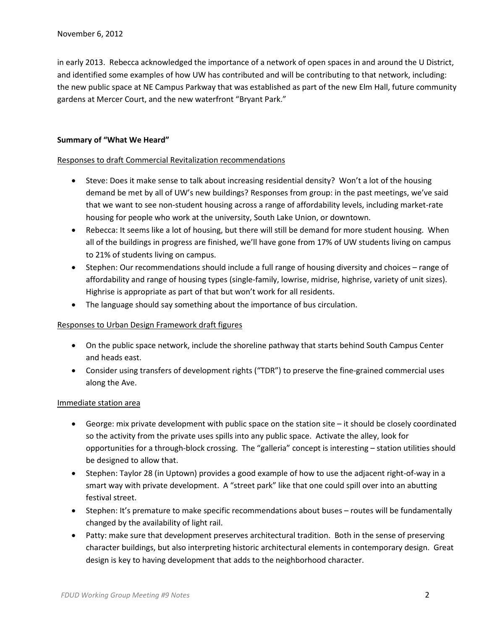in early 2013. Rebecca acknowledged the importance of a network of open spaces in and around the U District, and identified some examples of how UW has contributed and will be contributing to that network, including: the new public space at NE Campus Parkway that was established as part of the new Elm Hall, future community gardens at Mercer Court, and the new waterfront "Bryant Park."

### **Summary of "What We Heard"**

#### Responses to draft Commercial Revitalization recommendations

- Steve: Does it make sense to talk about increasing residential density? Won't a lot of the housing demand be met by all of UW's new buildings? Responses from group: in the past meetings, we've said that we want to see non-student housing across a range of affordability levels, including market-rate housing for people who work at the university, South Lake Union, or downtown.
- Rebecca: It seems like a lot of housing, but there will still be demand for more student housing. When all of the buildings in progress are finished, we'll have gone from 17% of UW students living on campus to 21% of students living on campus.
- Stephen: Our recommendations should include a full range of housing diversity and choices range of affordability and range of housing types (single-family, lowrise, midrise, highrise, variety of unit sizes). Highrise is appropriate as part of that but won't work for all residents.
- The language should say something about the importance of bus circulation.

#### Responses to Urban Design Framework draft figures

- On the public space network, include the shoreline pathway that starts behind South Campus Center and heads east.
- Consider using transfers of development rights ("TDR") to preserve the fine-grained commercial uses along the Ave.

#### Immediate station area

- George: mix private development with public space on the station site it should be closely coordinated so the activity from the private uses spills into any public space. Activate the alley, look for opportunities for a through-block crossing. The "galleria" concept is interesting – station utilities should be designed to allow that.
- Stephen: Taylor 28 (in Uptown) provides a good example of how to use the adjacent right-of-way in a smart way with private development. A "street park" like that one could spill over into an abutting festival street.
- Stephen: It's premature to make specific recommendations about buses routes will be fundamentally changed by the availability of light rail.
- Patty: make sure that development preserves architectural tradition. Both in the sense of preserving character buildings, but also interpreting historic architectural elements in contemporary design. Great design is key to having development that adds to the neighborhood character.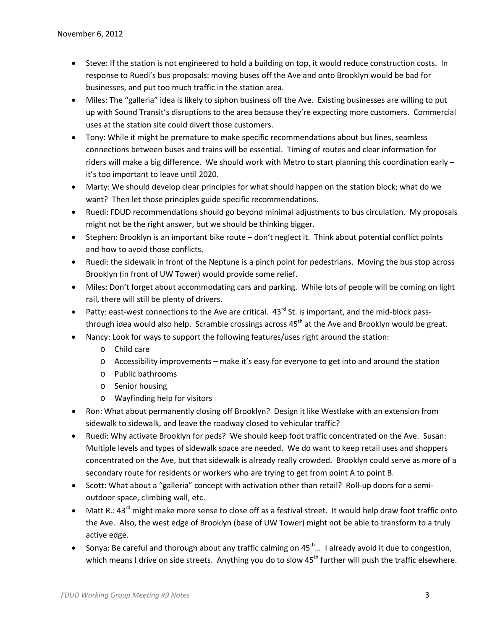- Steve: If the station is not engineered to hold a building on top, it would reduce construction costs. In response to Ruedi's bus proposals: moving buses off the Ave and onto Brooklyn would be bad for businesses, and put too much traffic in the station area.
- Miles: The "galleria" idea is likely to siphon business off the Ave. Existing businesses are willing to put up with Sound Transit's disruptions to the area because they're expecting more customers. Commercial uses at the station site could divert those customers.
- Tony: While it might be premature to make specific recommendations about bus lines, seamless connections between buses and trains will be essential. Timing of routes and clear information for riders will make a big difference. We should work with Metro to start planning this coordination early – it's too important to leave until 2020.
- Marty: We should develop clear principles for what should happen on the station block; what do we want? Then let those principles guide specific recommendations.
- Ruedi: FDUD recommendations should go beyond minimal adjustments to bus circulation. My proposals might not be the right answer, but we should be thinking bigger.
- Stephen: Brooklyn is an important bike route don't neglect it. Think about potential conflict points and how to avoid those conflicts.
- Ruedi: the sidewalk in front of the Neptune is a pinch point for pedestrians. Moving the bus stop across Brooklyn (in front of UW Tower) would provide some relief.
- Miles: Don't forget about accommodating cars and parking. While lots of people will be coming on light rail, there will still be plenty of drivers.
- Patty: east-west connections to the Ave are critical.  $43^{rd}$  St. is important, and the mid-block passthrough idea would also help. Scramble crossings across  $45<sup>th</sup>$  at the Ave and Brooklyn would be great.
- Nancy: Look for ways to support the following features/uses right around the station:
	- o Child care
	- o Accessibility improvements make it's easy for everyone to get into and around the station
	- o Public bathrooms
	- o Senior housing
	- o Wayfinding help for visitors
- Ron: What about permanently closing off Brooklyn? Design it like Westlake with an extension from sidewalk to sidewalk, and leave the roadway closed to vehicular traffic?
- Ruedi: Why activate Brooklyn for peds? We should keep foot traffic concentrated on the Ave. Susan: Multiple levels and types of sidewalk space are needed. We do want to keep retail uses and shoppers concentrated on the Ave, but that sidewalk is already really crowded. Brooklyn could serve as more of a secondary route for residents or workers who are trying to get from point A to point B.
- Scott: What about a "galleria" concept with activation other than retail? Roll-up doors for a semioutdoor space, climbing wall, etc.
- Matt R.: 43<sup>rd</sup> might make more sense to close off as a festival street. It would help draw foot traffic onto the Ave. Also, the west edge of Brooklyn (base of UW Tower) might not be able to transform to a truly active edge.
- Sonya: Be careful and thorough about any traffic calming on  $45^{\text{th}}$  I already avoid it due to congestion, which means I drive on side streets. Anything you do to slow  $45<sup>th</sup>$  further will push the traffic elsewhere.